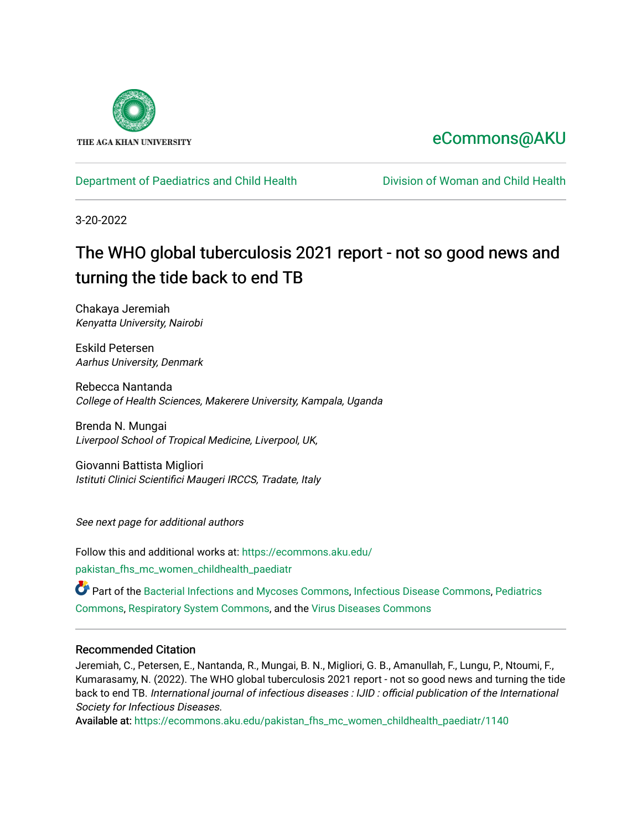

# [eCommons@AKU](https://ecommons.aku.edu/)

# [Department of Paediatrics and Child Health](https://ecommons.aku.edu/pakistan_fhs_mc_women_childhealth_paediatr) [Division of Woman and Child Health](https://ecommons.aku.edu/pakistan_fhs_mc_women_childhealth)

3-20-2022

# The WHO global tuberculosis 2021 report - not so good news and turning the tide back to end TB

Chakaya Jeremiah Kenyatta University, Nairobi

Eskild Petersen Aarhus University, Denmark

Rebecca Nantanda College of Health Sciences, Makerere University, Kampala, Uganda

Brenda N. Mungai Liverpool School of Tropical Medicine, Liverpool, UK,

Giovanni Battista Migliori Istituti Clinici Scientifici Maugeri IRCCS, Tradate, Italy

See next page for additional authors

Follow this and additional works at: [https://ecommons.aku.edu/](https://ecommons.aku.edu/pakistan_fhs_mc_women_childhealth_paediatr?utm_source=ecommons.aku.edu%2Fpakistan_fhs_mc_women_childhealth_paediatr%2F1140&utm_medium=PDF&utm_campaign=PDFCoverPages) [pakistan\\_fhs\\_mc\\_women\\_childhealth\\_paediatr](https://ecommons.aku.edu/pakistan_fhs_mc_women_childhealth_paediatr?utm_source=ecommons.aku.edu%2Fpakistan_fhs_mc_women_childhealth_paediatr%2F1140&utm_medium=PDF&utm_campaign=PDFCoverPages) 

Part of the [Bacterial Infections and Mycoses Commons](http://network.bepress.com/hgg/discipline/966?utm_source=ecommons.aku.edu%2Fpakistan_fhs_mc_women_childhealth_paediatr%2F1140&utm_medium=PDF&utm_campaign=PDFCoverPages), [Infectious Disease Commons](http://network.bepress.com/hgg/discipline/689?utm_source=ecommons.aku.edu%2Fpakistan_fhs_mc_women_childhealth_paediatr%2F1140&utm_medium=PDF&utm_campaign=PDFCoverPages), [Pediatrics](http://network.bepress.com/hgg/discipline/700?utm_source=ecommons.aku.edu%2Fpakistan_fhs_mc_women_childhealth_paediatr%2F1140&utm_medium=PDF&utm_campaign=PDFCoverPages) [Commons](http://network.bepress.com/hgg/discipline/700?utm_source=ecommons.aku.edu%2Fpakistan_fhs_mc_women_childhealth_paediatr%2F1140&utm_medium=PDF&utm_campaign=PDFCoverPages), [Respiratory System Commons](http://network.bepress.com/hgg/discipline/919?utm_source=ecommons.aku.edu%2Fpakistan_fhs_mc_women_childhealth_paediatr%2F1140&utm_medium=PDF&utm_campaign=PDFCoverPages), and the [Virus Diseases Commons](http://network.bepress.com/hgg/discipline/998?utm_source=ecommons.aku.edu%2Fpakistan_fhs_mc_women_childhealth_paediatr%2F1140&utm_medium=PDF&utm_campaign=PDFCoverPages) 

# Recommended Citation

Jeremiah, C., Petersen, E., Nantanda, R., Mungai, B. N., Migliori, G. B., Amanullah, F., Lungu, P., Ntoumi, F., Kumarasamy, N. (2022). The WHO global tuberculosis 2021 report - not so good news and turning the tide back to end TB. International journal of infectious diseases : IJID : official publication of the International Society for Infectious Diseases.

Available at: [https://ecommons.aku.edu/pakistan\\_fhs\\_mc\\_women\\_childhealth\\_paediatr/1140](https://ecommons.aku.edu/pakistan_fhs_mc_women_childhealth_paediatr/1140)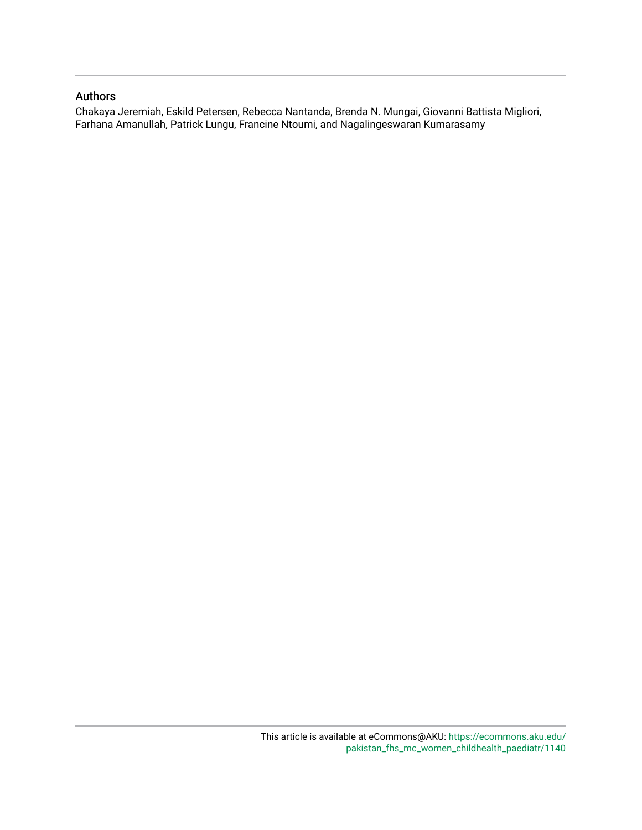# Authors

Chakaya Jeremiah, Eskild Petersen, Rebecca Nantanda, Brenda N. Mungai, Giovanni Battista Migliori, Farhana Amanullah, Patrick Lungu, Francine Ntoumi, and Nagalingeswaran Kumarasamy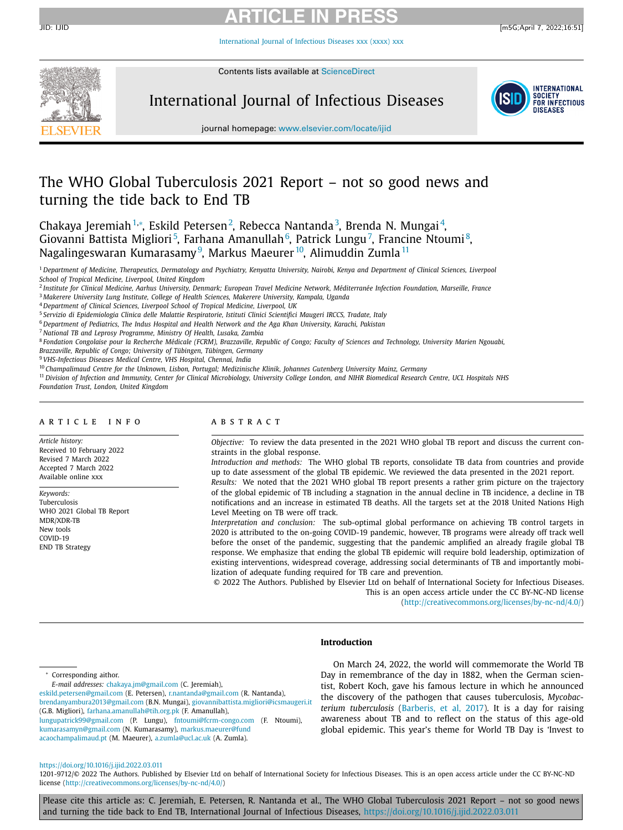# **ARTICLE IN PRESS** JID: IJID [m5G;April 7, 2022;16:51]

[International](https://doi.org/10.1016/j.ijid.2022.03.011) Journal of Infectious Diseases xxx (xxxx) xxx



Contents lists available at [ScienceDirect](http://www.ScienceDirect.com)

# International Journal of Infectious Diseases



journal homepage: [www.elsevier.com/locate/ijid](http://www.elsevier.com/locate/ijid)

# The WHO Global Tuberculosis 2021 Report – not so good news and turning the tide back to End TB

Chakaya Jeremiah<sup>1,</sup>\*, Eskild Petersen<sup>2</sup>, Rebecca Nantanda<sup>3</sup>, Brenda N. Mungai<sup>4</sup>, Giovanni Battista Migliori<sup>5</sup>, Farhana Amanullah<sup>6</sup>, Patrick Lungu<sup>7</sup>, Francine Ntoumi<sup>8</sup>, Nagalingeswaran Kumarasamy<sup>9</sup>, Markus Maeurer <sup>10</sup>, Alimuddin Zumla <sup>11</sup>

<sup>1</sup> Department of Medicine, Therapeutics, Dermatology and Psychiatry, Kenyatta University, Nairobi, Kenya and Department of Clinical Sciences, Liverpool *School of Tropical Medicine, Liverpool, United Kingdom*

<sup>2</sup> Institute for Clinical Medicine, Aarhus University, Denmark; European Travel Medicine Network, Méditerranée Infection Foundation, Marseille, France

<sup>3</sup> *Makerere University Lung Institute, College of Health Sciences, Makerere University, Kampala, Uganda*

<sup>4</sup> *Department of Clinical Sciences, Liverpool School of Tropical Medicine, Liverpool, UK*

<sup>5</sup> *Servizio di Epidemiologia Clinica delle Malattie Respiratorie, Istituti Clinici Scientifici Maugeri IRCCS, Tradate, Italy*

<sup>6</sup> *Department of Pediatrics, The Indus Hospital and Health Network and the Aga Khan University, Karachi, Pakistan*

- <sup>7</sup> *National TB and Leprosy Programme, Ministry Of Health, Lusaka, Zambia*
- <sup>8</sup> Fondation Congolaise pour la Recherche Médicale (FCRM), Brazzaville, Republic of Congo; Faculty of Sciences and Technology, University Marien Ngouabi,

*Brazzaville, Republic of Congo; University of Tübingen, Tübingen, Germany*

<sup>9</sup> *VHS-Infectious Diseases Medical Centre, VHS Hospital, Chennai, India*

<sup>10</sup> *Champalimaud Centre for the Unknown, Lisbon, Portugal; Medizinische Klinik, Johannes Gutenberg University Mainz, Germany*

<sup>11</sup> Division of Infection and Immunity, Center for Clinical Microbiology, University College London, and NIHR Biomedical Research Centre, UCL Hospitals NHS *Foundation Trust, London, United Kingdom*

### ARTICLE INFO

*Article history:* Received 10 February 2022 Revised 7 March 2022 Accepted 7 March 2022 Available online xxx

*Keywords:* Tuberculosis WHO 2021 Global TB Report MDR/XDR-TB New tools COVID-19 END TB Strategy

# a b s t r a c t

*Objective:* To review the data presented in the 2021 WHO global TB report and discuss the current constraints in the global response.

*Introduction and methods:* The WHO global TB reports, consolidate TB data from countries and provide up to date assessment of the global TB epidemic. We reviewed the data presented in the 2021 report.

*Results:* We noted that the 2021 WHO global TB report presents a rather grim picture on the trajectory of the global epidemic of TB including a stagnation in the annual decline in TB incidence, a decline in TB notifications and an increase in estimated TB deaths. All the targets set at the 2018 United Nations High Level Meeting on TB were off track.

*Interpretation and conclusion:* The sub-optimal global performance on achieving TB control targets in 2020 is attributed to the on-going COVID-19 pandemic, however, TB programs were already off track well before the onset of the pandemic, suggesting that the pandemic amplified an already fragile global TB response. We emphasize that ending the global TB epidemic will require bold leadership, optimization of existing interventions, widespread coverage, addressing social determinants of TB and importantly mobilization of adequate funding required for TB care and prevention.

© 2022 The Authors. Published by Elsevier Ltd on behalf of International Society for Infectious Diseases. This is an open access article under the CC BY-NC-ND license [\(http://creativecommons.org/licenses/by-nc-nd/4.0/\)](http://creativecommons.org/licenses/by-nc-nd/4.0/)

# **Introduction**

<sup>∗</sup> Corresponding aithor.

[eskild.petersen@gmail.com](mailto:eskild.petersen@gmail.com) (E. Petersen), [r.nantanda@gmail.com](mailto:r.nantanda@gmail.com) (R. Nantanda), [brendanyambura2013@gmail.com](mailto:brendanyambura2013@gmail.com) (B.N. Mungai), [giovannibattista.migliori@icsmaugeri.it](mailto:giovannibattista.migliori@icsmaugeri.it) (G.B. Migliori), [farhana.amanullah@tih.org.pk](mailto:farhana.amanullah@tih.org.pk) (F. Amanullah),

lungupatrick99@gmail.com (P. Lungu), [fntoumi@fcrm-congo.com](mailto:fntoumi@fcrm-congo.com) (F. Ntoumi), [kumarasamyn@gmail.com](mailto:kumarasamyn@gmail.com) (N. Kumarasamy), markus.maeurer@fund acaochampalimaud.pt (M. Maeurer), [a.zumla@ucl.ac.uk](mailto:a.zumla@ucl.ac.uk) (A. Zumla).

On March 24, 2022, the world will commemorate the World TB Day in remembrance of the day in 1882, when the German scientist, Robert Koch, gave his famous lecture in which he announced the discovery of the pathogen that causes tuberculosis, *Mycobacterium tuberculosis* [\(Barberis,](#page-5-0) et al, 2017). It is a day for raising awareness about TB and to reflect on the status of this age-old global epidemic. This year's theme for World TB Day is 'Invest to

# <https://doi.org/10.1016/j.ijid.2022.03.011>

1201-9712/© 2022 The Authors. Published by Elsevier Ltd on behalf of International Society for Infectious Diseases. This is an open access article under the CC BY-NC-ND license [\(http://creativecommons.org/licenses/by-nc-nd/4.0/\)](http://creativecommons.org/licenses/by-nc-nd/4.0/)

Please cite this article as: C. Jeremiah, E. Petersen, R. Nantanda et al., The WHO Global Tuberculosis 2021 Report – not so good news and turning the tide back to End TB, International Journal of Infectious Diseases, <https://doi.org/10.1016/j.ijid.2022.03.011>

*E-mail addresses:* [chakaya.jm@gmail.com](mailto:chakaya.jm@gmail.com) (C. Jeremiah),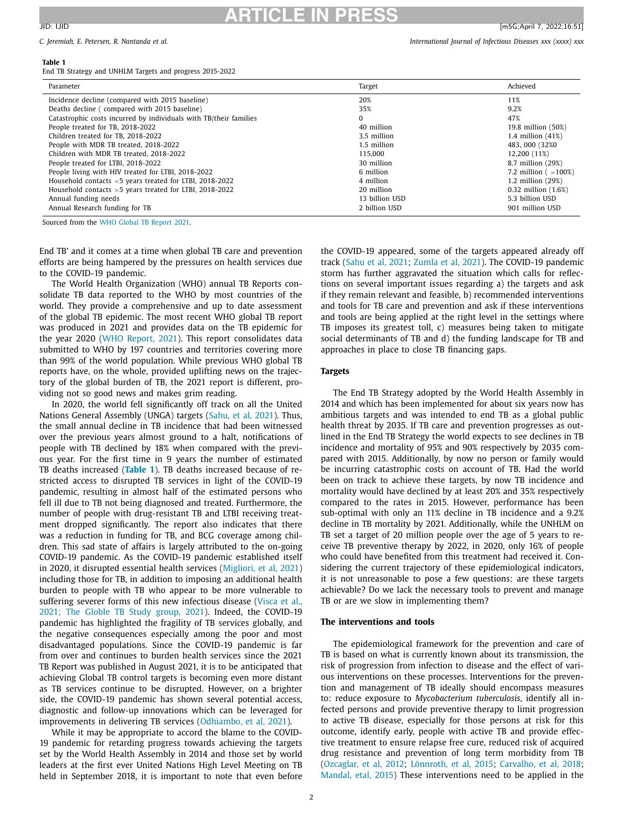# **ARTICLE IN PRESS** JID: IJID [m5G;April 7, 2022;16:51]

### **Table 1**

End TB Strategy and UNHLM Targets and progress 2015-2022

| Parameter                                                         | Target         | Achieved                 |
|-------------------------------------------------------------------|----------------|--------------------------|
| Incidence decline (compared with 2015 baseline)                   | 20%            | 11%                      |
| Deaths decline (compared with 2015 baseline)                      | 35%            | 9.2%                     |
| Catastrophic costs incurred by individuals with TB/their families | 0              | 47%                      |
| People treated for TB, 2018-2022                                  | 40 million     | 19.8 million (50%)       |
| Children treated for TB, 2018-2022                                | 3.5 million    | 1.4 million $(41%)$      |
| People with MDR TB treated, 2018-2022                             | 1.5 million    | 483, 000 (32%0)          |
| Children with MDR TB treated, 2018-2022                           | 115.000        | 12.200 (11%)             |
| People treated for LTBI, 2018-2022                                | 30 million     | 8.7 million (29%)        |
| People living with HIV treated for LTBI, 2018-2022                | 6 million      | 7.2 million ( $>100\%$ ) |
| Household contacts <5 years treated for LTBI, 2018-2022           | 4 million      | 1.2 million (29%)        |
| Household contacts $>5$ years treated for LTBI, 2018-2022         | 20 million     | $0.32$ million $(1.6%)$  |
| Annual funding needs                                              | 13 billion USD | 5.3 billion USD          |
| Annual Research funding for TB                                    | 2 billion USD  | 901 million USD          |

Sourced from the WHO Global TB [Report](#page-5-0) 2021.

End TB' and it comes at a time when global TB care and prevention efforts are being hampered by the pressures on health services due to the COVID-19 pandemic.

The World Health Organization (WHO) annual TB Reports consolidate TB data reported to the WHO by most countries of the world. They provide a comprehensive and up to date assessment of the global TB epidemic. The most recent WHO global TB report was produced in 2021 and provides data on the TB epidemic for the year 2020 (WHO [Report,](#page-5-0) 2021). This report consolidates data submitted to WHO by 197 countries and territories covering more than 99% of the world population. While previous WHO global TB reports have, on the whole, provided uplifting news on the trajectory of the global burden of TB, the 2021 report is different, providing not so good news and makes grim reading.

In 2020, the world fell significantly off track on all the United Nations General Assembly (UNGA) targets [\(Sahu,](#page-5-0) et al, 2021). Thus, the small annual decline in TB incidence that had been witnessed over the previous years almost ground to a halt, notifications of people with TB declined by 18% when compared with the previous year. For the first time in 9 years the number of estimated TB deaths increased (**Table 1**). TB deaths increased because of restricted access to disrupted TB services in light of the COVID-19 pandemic, resulting in almost half of the estimated persons who fell ill due to TB not being diagnosed and treated. Furthermore, the number of people with drug-resistant TB and LTBI receiving treatment dropped significantly. The report also indicates that there was a reduction in funding for TB, and BCG coverage among children. This sad state of affairs is largely attributed to the on-going COVID-19 pandemic. As the COVID-19 pandemic established itself in 2020, it disrupted essential health services [\(Migliori,](#page-5-0) et al, 2021) including those for TB, in addition to imposing an additional health burden to people with TB who appear to be more vulnerable to suffering severer forms of this new [infectious](#page-5-0) disease (Visca et al., 2021; The Globle TB Study group, 2021). Indeed, the COVID-19 pandemic has highlighted the fragility of TB services globally, and the negative consequences especially among the poor and most disadvantaged populations. Since the COVID-19 pandemic is far from over and continues to burden health services since the 2021 TB Report was published in August 2021, it is to be anticipated that achieving Global TB control targets is becoming even more distant as TB services continue to be disrupted. However, on a brighter side, the COVID-19 pandemic has shown several potential access, diagnostic and follow-up innovations which can be leveraged for improvements in delivering TB services [\(Odhiambo,](#page-5-0) et al, 2021).

While it may be appropriate to accord the blame to the COVID-19 pandemic for retarding progress towards achieving the targets set by the World Health Assembly in 2014 and those set by world leaders at the first ever United Nations High Level Meeting on TB held in September 2018, it is important to note that even before the COVID-19 appeared, some of the targets appeared already off track (Sahu et al, [2021;](#page-5-0) [Zumla](#page-5-0) et al, 2021). The COVID-19 pandemic storm has further aggravated the situation which calls for reflections on several important issues regarding a) the targets and ask if they remain relevant and feasible, b) recommended interventions and tools for TB care and prevention and ask if these interventions and tools are being applied at the right level in the settings where TB imposes its greatest toll, c) measures being taken to mitigate social determinants of TB and d) the funding landscape for TB and approaches in place to close TB financing gaps.

## **Targets**

The End TB Strategy adopted by the World Health Assembly in 2014 and which has been implemented for about six years now has ambitious targets and was intended to end TB as a global public health threat by 2035. If TB care and prevention progresses as outlined in the End TB Strategy the world expects to see declines in TB incidence and mortality of 95% and 90% respectively by 2035 compared with 2015. Additionally, by now no person or family would be incurring catastrophic costs on account of TB. Had the world been on track to achieve these targets, by now TB incidence and mortality would have declined by at least 20% and 35% respectively compared to the rates in 2015. However, performance has been sub-optimal with only an 11% decline in TB incidence and a 9.2% decline in TB mortality by 2021. Additionally, while the UNHLM on TB set a target of 20 million people over the age of 5 years to receive TB preventive therapy by 2022, in 2020, only 16% of people who could have benefited from this treatment had received it. Considering the current trajectory of these epidemiological indicators, it is not unreasonable to pose a few questions: are these targets achievable? Do we lack the necessary tools to prevent and manage TB or are we slow in implementing them?

# **The interventions and tools**

The epidemiological framework for the prevention and care of TB is based on what is currently known about its transmission, the risk of progression from infection to disease and the effect of various interventions on these processes. Interventions for the prevention and management of TB ideally should encompass measures to: reduce exposure to *Mycobacterium tuberculosis*, identify all infected persons and provide preventive therapy to limit progression to active TB disease, especially for those persons at risk for this outcome, identify early, people with active TB and provide effective treatment to ensure relapse free cure, reduced risk of acquired drug resistance and prevention of long term morbidity from TB [\(Ozcaglar,](#page-5-0) et al, 2012; [Lönnroth,](#page-5-0) et al, 2015; [Carvalho,](#page-5-0) et al, 2018; [Mandal,](#page-5-0) etal, 2015) These interventions need to be applied in the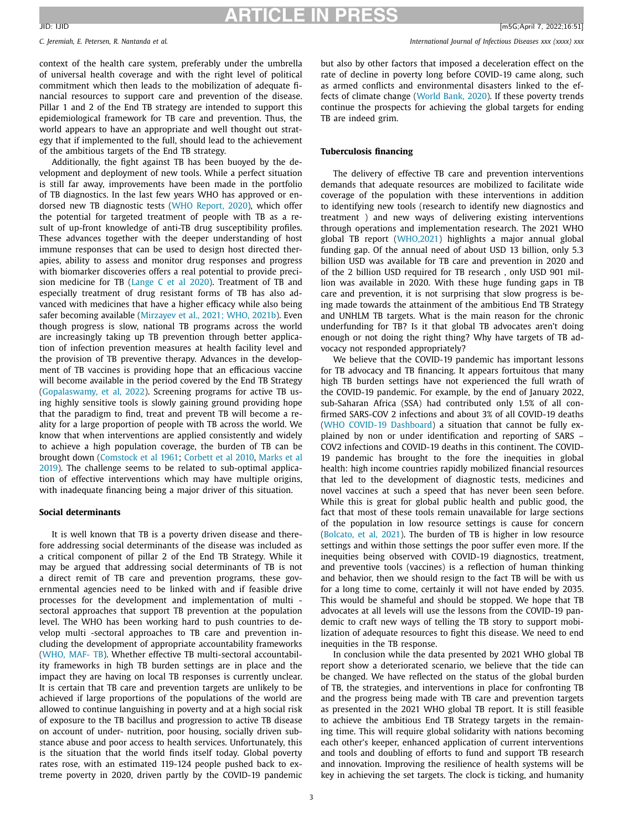*C. Jeremiah, E. Petersen, R. Nantanda et al. International Journal of Infectious Diseases xxx (xxxx) xxx*

context of the health care system, preferably under the umbrella of universal health coverage and with the right level of political commitment which then leads to the mobilization of adequate financial resources to support care and prevention of the disease. Pillar 1 and 2 of the End TB strategy are intended to support this epidemiological framework for TB care and prevention. Thus, the world appears to have an appropriate and well thought out strategy that if implemented to the full, should lead to the achievement of the ambitious targets of the End TB strategy.

Additionally, the fight against TB has been buoyed by the development and deployment of new tools. While a perfect situation is still far away, improvements have been made in the portfolio of TB diagnostics. In the last few years WHO has approved or endorsed new TB diagnostic tests (WHO [Report,](#page-5-0) 2020), which offer the potential for targeted treatment of people with TB as a result of up-front knowledge of anti-TB drug susceptibility profiles. These advances together with the deeper understanding of host immune responses that can be used to design host directed therapies, ability to assess and monitor drug responses and progress with biomarker discoveries offers a real potential to provide precision medicine for TB [\(Lange](#page-5-0) C et al 2020). Treatment of TB and especially treatment of drug resistant forms of TB has also advanced with medicines that have a higher efficacy while also being safer becoming available [\(Mirzayev](#page-5-0) et al., 2021; WHO, 2021b). Even though progress is slow, national TB programs across the world are increasingly taking up TB prevention through better application of infection prevention measures at health facility level and the provision of TB preventive therapy. Advances in the development of TB vaccines is providing hope that an efficacious vaccine will become available in the period covered by the End TB Strategy [\(Gopalaswamy,](#page-5-0) et al, 2022). Screening programs for active TB using highly sensitive tools is slowly gaining ground providing hope that the paradigm to find, treat and prevent TB will become a reality for a large proportion of people with TB across the world. We know that when interventions are applied consistently and widely to achieve a high population coverage, the burden of TB can be brought down [\(Comstock](#page-5-0) et al 1961; [Corbett](#page-5-0) et al 2010, Marks et al 2019). The challenge seems to be related to [sub-optimal](#page-5-0) application of effective interventions which may have multiple origins, with inadequate financing being a major driver of this situation.

### **Social determinants**

It is well known that TB is a poverty driven disease and therefore addressing social determinants of the disease was included as a critical component of pillar 2 of the End TB Strategy. While it may be argued that addressing social determinants of TB is not a direct remit of TB care and prevention programs, these governmental agencies need to be linked with and if feasible drive processes for the development and implementation of multi sectoral approaches that support TB prevention at the population level. The WHO has been working hard to push countries to develop multi -sectoral approaches to TB care and prevention including the development of appropriate accountability frameworks [\(WHO,](https://www.who.int/tb/publications/MAF_factsheet.pdf) MAF- TB). Whether effective TB multi-sectoral accountability frameworks in high TB burden settings are in place and the impact they are having on local TB responses is currently unclear. It is certain that TB care and prevention targets are unlikely to be achieved if large proportions of the populations of the world are allowed to continue languishing in poverty and at a high social risk of exposure to the TB bacillus and progression to active TB disease on account of under- nutrition, poor housing, socially driven substance abuse and poor access to health services. Unfortunately, this is the situation that the world finds itself today. Global poverty rates rose, with an estimated 119-124 people pushed back to extreme poverty in 2020, driven partly by the COVID-19 pandemic but also by other factors that imposed a deceleration effect on the rate of decline in poverty long before COVID-19 came along, such as armed conflicts and environmental disasters linked to the effects of climate change [\(World](#page-5-0) Bank, 2020). If these poverty trends continue the prospects for achieving the global targets for ending TB are indeed grim.

### **Tuberculosis financing**

The delivery of effective TB care and prevention interventions demands that adequate resources are mobilized to facilitate wide coverage of the population with these interventions in addition to identifying new tools (research to identify new diagnostics and treatment ) and new ways of delivering existing interventions through operations and implementation research. The 2021 WHO global TB report [\(WHO,2021\)](#page-5-0) highlights a major annual global funding gap. Of the annual need of about USD 13 billion, only 5.3 billion USD was available for TB care and prevention in 2020 and of the 2 billion USD required for TB research , only USD 901 million was available in 2020. With these huge funding gaps in TB care and prevention, it is not surprising that slow progress is being made towards the attainment of the ambitious End TB Strategy and UNHLM TB targets. What is the main reason for the chronic underfunding for TB? Is it that global TB advocates aren't doing enough or not doing the right thing? Why have targets of TB advocacy not responded appropriately?

We believe that the COVID-19 pandemic has important lessons for TB advocacy and TB financing. It appears fortuitous that many high TB burden settings have not experienced the full wrath of the COVID-19 pandemic. For example, by the end of January 2022, sub-Saharan Africa (SSA) had contributed only 1.5% of all confirmed SARS-COV 2 infections and about 3% of all COVID-19 deaths (WHO COVID-19 [Dashboard\)](https://covid19.who.int/) a situation that cannot be fully explained by non or under identification and reporting of SARS – COV2 infections and COVID-19 deaths in this continent. The COVID-19 pandemic has brought to the fore the inequities in global health: high income countries rapidly mobilized financial resources that led to the development of diagnostic tests, medicines and novel vaccines at such a speed that has never been seen before. While this is great for global public health and public good, the fact that most of these tools remain unavailable for large sections of the population in low resource settings is cause for concern [\(Bolcato,](#page-5-0) et al, 2021). The burden of TB is higher in low resource settings and within those settings the poor suffer even more. If the inequities being observed with COVID-19 diagnostics, treatment, and preventive tools (vaccines) is a reflection of human thinking and behavior, then we should resign to the fact TB will be with us for a long time to come, certainly it will not have ended by 2035. This would be shameful and should be stopped. We hope that TB advocates at all levels will use the lessons from the COVID-19 pandemic to craft new ways of telling the TB story to support mobilization of adequate resources to fight this disease. We need to end inequities in the TB response.

In conclusion while the data presented by 2021 WHO global TB report show a deteriorated scenario, we believe that the tide can be changed. We have reflected on the status of the global burden of TB, the strategies, and interventions in place for confronting TB and the progress being made with TB care and prevention targets as presented in the 2021 WHO global TB report. It is still feasible to achieve the ambitious End TB Strategy targets in the remaining time. This will require global solidarity with nations becoming each other's keeper, enhanced application of current interventions and tools and doubling of efforts to fund and support TB research and innovation. Improving the resilience of health systems will be key in achieving the set targets. The clock is ticking, and humanity